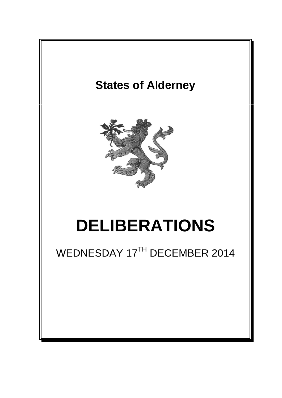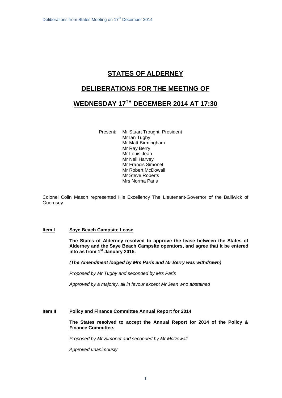# **STATES OF ALDERNEY**

## **DELIBERATIONS FOR THE MEETING OF**

# **WEDNESDAY 17TH DECEMBER 2014 AT 17:30**

Present: Mr Stuart Trought, President Mr Ian Tugby Mr Matt Birmingham Mr Ray Berry Mr Louis Jean Mr Neil Harvey Mr Francis Simonet Mr Robert McDowall Mr Steve Roberts Mrs Norma Paris

Colonel Colin Mason represented His Excellency The Lieutenant-Governor of the Bailiwick of Guernsey.

### **Item I Saye Beach Campsite Lease**

**The States of Alderney resolved to approve the lease between the States of Alderney and the Saye Beach Campsite operators, and agree that it be entered into as from 1st January 2015.**

*(The Amendment lodged by Mrs Paris and Mr Berry was withdrawn)*

*Proposed by Mr Tugby and seconded by Mrs Paris*

*Approved by a majority, all in favour except Mr Jean who abstained*

#### **Item II Policy and Finance Committee Annual Report for 2014**

**The States resolved to accept the Annual Report for 2014 of the Policy & Finance Committee.**

*Proposed by Mr Simonet and seconded by Mr McDowall*

*Approved unanimously*